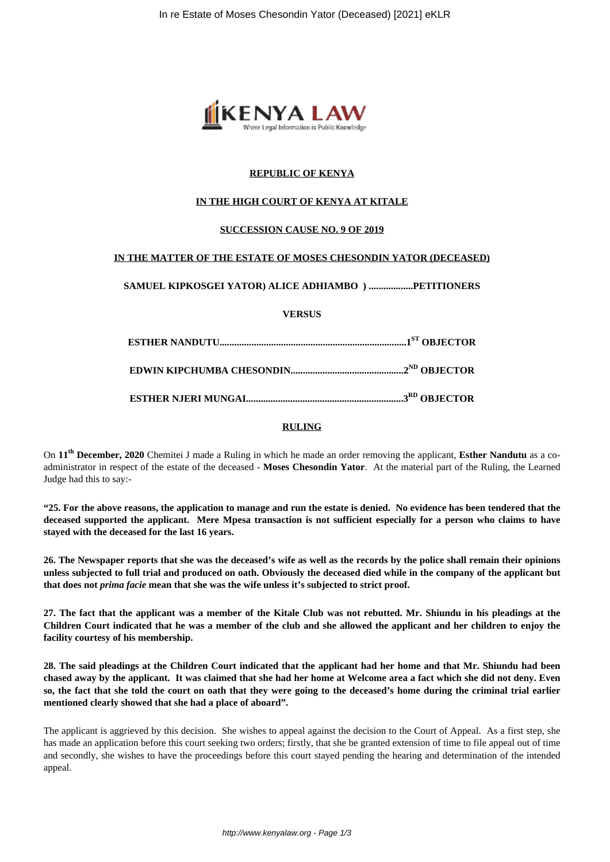

# **REPUBLIC OF KENYA**

## **IN THE HIGH COURT OF KENYA AT KITALE**

### **SUCCESSION CAUSE NO. 9 OF 2019**

### **IN THE MATTER OF THE ESTATE OF MOSES CHESONDIN YATOR (DECEASED)**

# **SAMUEL KIPKOSGEI YATOR) ALICE ADHIAMBO ) ..................PETITIONERS**

**VERSUS**

#### **RULING**

On **11th December, 2020** Chemitei J made a Ruling in which he made an order removing the applicant, **Esther Nandutu** as a coadministrator in respect of the estate of the deceased - **Moses Chesondin Yator**. At the material part of the Ruling, the Learned Judge had this to say:-

**"25. For the above reasons, the application to manage and run the estate is denied. No evidence has been tendered that the deceased supported the applicant. Mere Mpesa transaction is not sufficient especially for a person who claims to have stayed with the deceased for the last 16 years.**

**26. The Newspaper reports that she was the deceased's wife as well as the records by the police shall remain their opinions unless subjected to full trial and produced on oath. Obviously the deceased died while in the company of the applicant but that does not** *prima facie* **mean that she was the wife unless it's subjected to strict proof.**

**27. The fact that the applicant was a member of the Kitale Club was not rebutted. Mr. Shiundu in his pleadings at the Children Court indicated that he was a member of the club and she allowed the applicant and her children to enjoy the facility courtesy of his membership.**

**28. The said pleadings at the Children Court indicated that the applicant had her home and that Mr. Shiundu had been chased away by the applicant. It was claimed that she had her home at Welcome area a fact which she did not deny. Even so, the fact that she told the court on oath that they were going to the deceased's home during the criminal trial earlier mentioned clearly showed that she had a place of aboard".**

The applicant is aggrieved by this decision. She wishes to appeal against the decision to the Court of Appeal. As a first step, she has made an application before this court seeking two orders; firstly, that she be granted extension of time to file appeal out of time and secondly, she wishes to have the proceedings before this court stayed pending the hearing and determination of the intended appeal.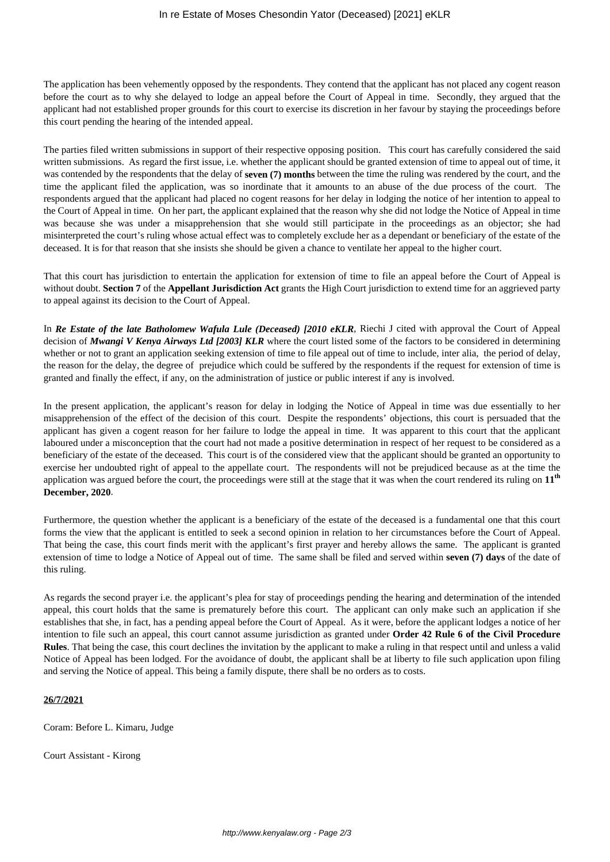The application has been vehemently opposed by the respondents. They contend that the applicant has not placed any cogent reason before the court as to why she delayed to lodge an appeal before the Court of Appeal in time. Secondly, they argued that the applicant had not established proper grounds for this court to exercise its discretion in her favour by staying the proceedings before this court pending the hearing of the intended appeal.

The parties filed written submissions in support of their respective opposing position. This court has carefully considered the said written submissions. As regard the first issue, i.e. whether the applicant should be granted extension of time to appeal out of time, it was contended by the respondents that the delay of **seven (7) months** between the time the ruling was rendered by the court, and the time the applicant filed the application, was so inordinate that it amounts to an abuse of the due process of the court. The respondents argued that the applicant had placed no cogent reasons for her delay in lodging the notice of her intention to appeal to the Court of Appeal in time. On her part, the applicant explained that the reason why she did not lodge the Notice of Appeal in time was because she was under a misapprehension that she would still participate in the proceedings as an objector; she had misinterpreted the court's ruling whose actual effect was to completely exclude her as a dependant or beneficiary of the estate of the deceased. It is for that reason that she insists she should be given a chance to ventilate her appeal to the higher court.

That this court has jurisdiction to entertain the application for extension of time to file an appeal before the Court of Appeal is without doubt. **Section 7** of the **Appellant Jurisdiction Act** grants the High Court jurisdiction to extend time for an aggrieved party to appeal against its decision to the Court of Appeal.

In *Re Estate of the late Batholomew Wafula Lule (Deceased) [2010 eKLR*, Riechi J cited with approval the Court of Appeal decision of *Mwangi V Kenya Airways Ltd [2003] KLR* where the court listed some of the factors to be considered in determining whether or not to grant an application seeking extension of time to file appeal out of time to include, inter alia, the period of delay, the reason for the delay, the degree of prejudice which could be suffered by the respondents if the request for extension of time is granted and finally the effect, if any, on the administration of justice or public interest if any is involved.

In the present application, the applicant's reason for delay in lodging the Notice of Appeal in time was due essentially to her misapprehension of the effect of the decision of this court. Despite the respondents' objections, this court is persuaded that the applicant has given a cogent reason for her failure to lodge the appeal in time. It was apparent to this court that the applicant laboured under a misconception that the court had not made a positive determination in respect of her request to be considered as a beneficiary of the estate of the deceased. This court is of the considered view that the applicant should be granted an opportunity to exercise her undoubted right of appeal to the appellate court. The respondents will not be prejudiced because as at the time the application was argued before the court, the proceedings were still at the stage that it was when the court rendered its ruling on **11th December, 2020**.

Furthermore, the question whether the applicant is a beneficiary of the estate of the deceased is a fundamental one that this court forms the view that the applicant is entitled to seek a second opinion in relation to her circumstances before the Court of Appeal. That being the case, this court finds merit with the applicant's first prayer and hereby allows the same. The applicant is granted extension of time to lodge a Notice of Appeal out of time. The same shall be filed and served within **seven (7) days** of the date of this ruling.

As regards the second prayer i.e. the applicant's plea for stay of proceedings pending the hearing and determination of the intended appeal, this court holds that the same is prematurely before this court. The applicant can only make such an application if she establishes that she, in fact, has a pending appeal before the Court of Appeal. As it were, before the applicant lodges a notice of her intention to file such an appeal, this court cannot assume jurisdiction as granted under **Order 42 Rule 6 of the Civil Procedure Rules**. That being the case, this court declines the invitation by the applicant to make a ruling in that respect until and unless a valid Notice of Appeal has been lodged. For the avoidance of doubt, the applicant shall be at liberty to file such application upon filing and serving the Notice of appeal. This being a family dispute, there shall be no orders as to costs.

### **26/7/2021**

Coram: Before L. Kimaru, Judge

Court Assistant - Kirong